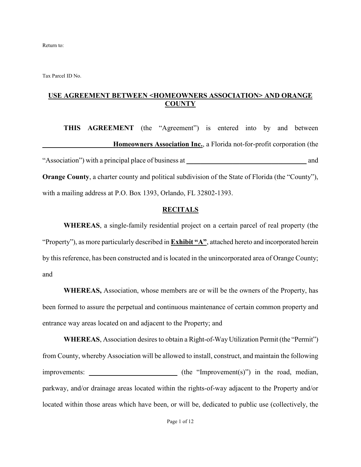Return to:

Tax Parcel ID No.

### **USE AGREEMENT BETWEEN <HOMEOWNERS ASSOCIATION> AND ORANGE COUNTY**

**THIS AGREEMENT** (the "Agreement") is entered into by and between **\_\_\_\_\_\_\_\_\_\_\_\_\_\_\_\_\_\_\_\_Homeowners Association Inc.**, a Florida not-for-profit corporation (the "Association") with a principal place of business at \_\_\_\_\_\_\_\_\_\_\_\_\_\_\_\_\_\_\_\_\_\_\_\_\_\_\_\_\_\_\_\_\_\_ and **Orange County**, a charter county and political subdivision of the State of Florida (the "County"), with a mailing address at P.O. Box 1393, Orlando, FL 32802-1393.

#### **RECITALS**

**WHEREAS**, a single-family residential project on a certain parcel of real property (the "Property"), as more particularly described in **Exhibit "A"**, attached hereto and incorporated herein by this reference, has been constructed and is located in the unincorporated area of Orange County; and

**WHEREAS,** Association, whose members are or will be the owners of the Property, has been formed to assure the perpetual and continuous maintenance of certain common property and entrance way areas located on and adjacent to the Property; and

**WHEREAS**, Association desires to obtain a Right-of-Way Utilization Permit (the "Permit") from County, whereby Association will be allowed to install, construct, and maintain the following improvements: **\_\_\_\_\_\_\_\_\_\_\_\_\_\_\_\_\_\_\_\_\_\_\_\_\_** (the "Improvement(s)") in the road, median, parkway, and/or drainage areas located within the rights-of-way adjacent to the Property and/or located within those areas which have been, or will be, dedicated to public use (collectively, the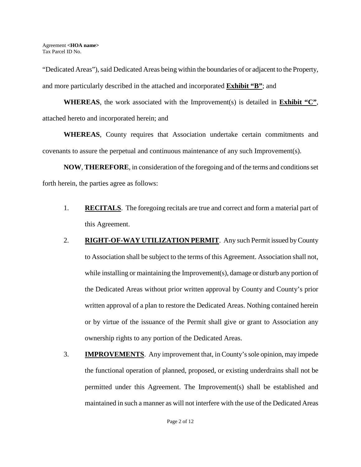"Dedicated Areas"), said Dedicated Areas being within the boundaries of or adjacent to the Property, and more particularly described in the attached and incorporated **Exhibit "B"**; and

**WHEREAS**, the work associated with the Improvement(s) is detailed in **Exhibit "C"**, attached hereto and incorporated herein; and

**WHEREAS**, County requires that Association undertake certain commitments and covenants to assure the perpetual and continuous maintenance of any such Improvement(s).

**NOW**, **THEREFORE**, in consideration of the foregoing and of the terms and conditions set forth herein, the parties agree as follows:

- 1. **RECITALS**. The foregoing recitals are true and correct and form a material part of this Agreement.
- 2. **RIGHT-OF-WAY UTILIZATION PERMIT**. Any such Permit issued by County to Association shall be subject to the terms of this Agreement. Association shall not, while installing or maintaining the Improvement(s), damage or disturb any portion of the Dedicated Areas without prior written approval by County and County's prior written approval of a plan to restore the Dedicated Areas. Nothing contained herein or by virtue of the issuance of the Permit shall give or grant to Association any ownership rights to any portion of the Dedicated Areas.
- 3. **IMPROVEMENTS**. Any improvement that, in County's sole opinion, may impede the functional operation of planned, proposed, or existing underdrains shall not be permitted under this Agreement. The Improvement(s) shall be established and maintained in such a manner as will not interfere with the use of the Dedicated Areas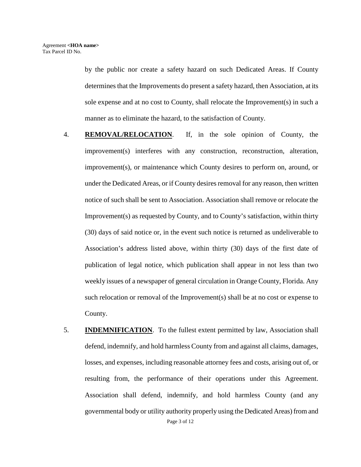by the public nor create a safety hazard on such Dedicated Areas. If County determines that the Improvements do present a safety hazard, then Association, at its sole expense and at no cost to County, shall relocate the Improvement(s) in such a manner as to eliminate the hazard, to the satisfaction of County.

- 4. **REMOVAL/RELOCATION**. If, in the sole opinion of County, the improvement(s) interferes with any construction, reconstruction, alteration, improvement(s), or maintenance which County desires to perform on, around, or under the Dedicated Areas, or if County desires removal for any reason, then written notice of such shall be sent to Association. Association shall remove or relocate the Improvement(s) as requested by County, and to County's satisfaction, within thirty (30) days of said notice or, in the event such notice is returned as undeliverable to Association's address listed above, within thirty (30) days of the first date of publication of legal notice, which publication shall appear in not less than two weekly issues of a newspaper of general circulation in Orange County, Florida. Any such relocation or removal of the Improvement(s) shall be at no cost or expense to County.
- Page 3 of 12 5. **INDEMNIFICATION**. To the fullest extent permitted by law, Association shall defend, indemnify, and hold harmless County from and against all claims, damages, losses, and expenses, including reasonable attorney fees and costs, arising out of, or resulting from, the performance of their operations under this Agreement. Association shall defend, indemnify, and hold harmless County (and any governmental body or utility authority properly using the Dedicated Areas) from and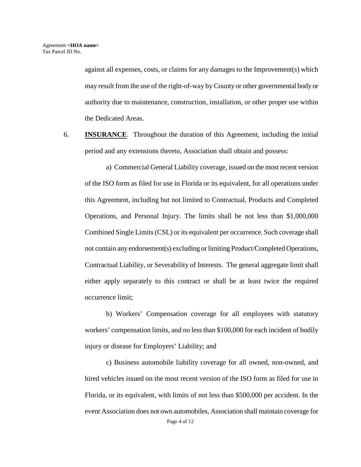against all expenses, costs, or claims for any damages to the Improvement(s) which may result from the use of the right-of-way by County or other governmental body or authority due to maintenance, construction, installation, or other proper use within the Dedicated Areas.

6. **INSURANCE**. Throughout the duration of this Agreement, including the initial period and any extensions thereto, Association shall obtain and possess:

a) Commercial General Liability coverage, issued on the most recent version of the ISO form as filed for use in Florida or its equivalent, for all operations under this Agreement, including but not limited to Contractual, Products and Completed Operations, and Personal Injury. The limits shall be not less than \$1,000,000 Combined Single Limits (CSL) or its equivalent per occurrence. Such coverage shall not contain any endorsement(s) excluding or limiting Product/Completed Operations, Contractual Liability, or Severability of Interests. The general aggregate limit shall either apply separately to this contract or shall be at least twice the required occurrence limit;

 b) Workers' Compensation coverage for all employees with statutory workers' compensation limits, and no less than \$100,000 for each incident of bodily injury or disease for Employers' Liability; and

 c) Business automobile liability coverage for all owned, non-owned, and hired vehicles issued on the most recent version of the ISO form as filed for use in Florida, or its equivalent, with limits of not less than \$500,000 per accident. In the event Association does not own automobiles, Association shall maintain coverage for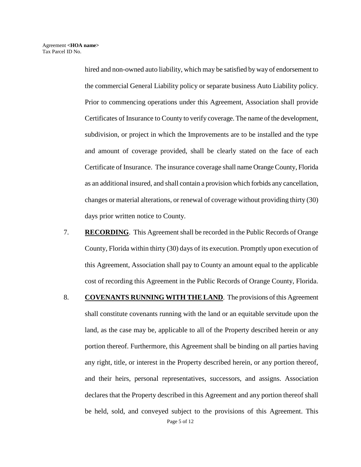hired and non-owned auto liability, which may be satisfied by way of endorsement to the commercial General Liability policy or separate business Auto Liability policy. Prior to commencing operations under this Agreement, Association shall provide Certificates of Insurance to County to verify coverage. The name of the development, subdivision, or project in which the Improvements are to be installed and the type and amount of coverage provided, shall be clearly stated on the face of each Certificate of Insurance. The insurance coverage shall name Orange County, Florida as an additional insured, and shall contain a provision which forbids any cancellation, changes or material alterations, or renewal of coverage without providing thirty (30) days prior written notice to County.

- 7. **RECORDING**. This Agreement shall be recorded in the Public Records of Orange County, Florida within thirty (30) days of its execution. Promptly upon execution of this Agreement, Association shall pay to County an amount equal to the applicable cost of recording this Agreement in the Public Records of Orange County, Florida.
- Page 5 of 12 8. **COVENANTS RUNNING WITH THE LAND**. The provisions of this Agreement shall constitute covenants running with the land or an equitable servitude upon the land, as the case may be, applicable to all of the Property described herein or any portion thereof. Furthermore, this Agreement shall be binding on all parties having any right, title, or interest in the Property described herein, or any portion thereof, and their heirs, personal representatives, successors, and assigns. Association declares that the Property described in this Agreement and any portion thereof shall be held, sold, and conveyed subject to the provisions of this Agreement. This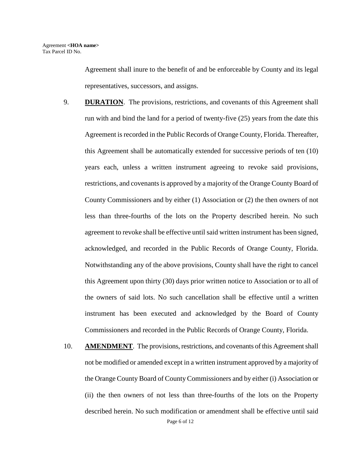Agreement shall inure to the benefit of and be enforceable by County and its legal representatives, successors, and assigns.

- 9. **DURATION**. The provisions, restrictions, and covenants of this Agreement shall run with and bind the land for a period of twenty-five (25) years from the date this Agreement is recorded in the Public Records of Orange County, Florida. Thereafter, this Agreement shall be automatically extended for successive periods of ten (10) years each, unless a written instrument agreeing to revoke said provisions, restrictions, and covenants is approved by a majority of the Orange County Board of County Commissioners and by either (1) Association or (2) the then owners of not less than three-fourths of the lots on the Property described herein. No such agreement to revoke shall be effective until said written instrument has been signed, acknowledged, and recorded in the Public Records of Orange County, Florida. Notwithstanding any of the above provisions, County shall have the right to cancel this Agreement upon thirty (30) days prior written notice to Association or to all of the owners of said lots. No such cancellation shall be effective until a written instrument has been executed and acknowledged by the Board of County Commissioners and recorded in the Public Records of Orange County, Florida.
- Page 6 of 12 10. **AMENDMENT**. The provisions, restrictions, and covenants of this Agreement shall not be modified or amended except in a written instrument approved by a majority of the Orange County Board of County Commissioners and by either (i) Association or (ii) the then owners of not less than three-fourths of the lots on the Property described herein. No such modification or amendment shall be effective until said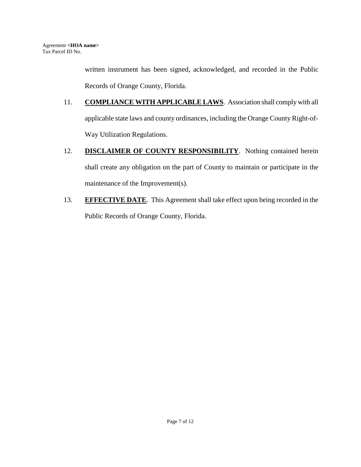written instrument has been signed, acknowledged, and recorded in the Public Records of Orange County, Florida.

- 11. **COMPLIANCE WITH APPLICABLE LAWS**. Association shall comply with all applicable state laws and county ordinances, including the Orange County Right-of-Way Utilization Regulations.
- 12. **DISCLAIMER OF COUNTY RESPONSIBILITY**. Nothing contained herein shall create any obligation on the part of County to maintain or participate in the maintenance of the Improvement(s).
- 13. **EFFECTIVE DATE**. This Agreement shall take effect upon being recorded in the Public Records of Orange County, Florida.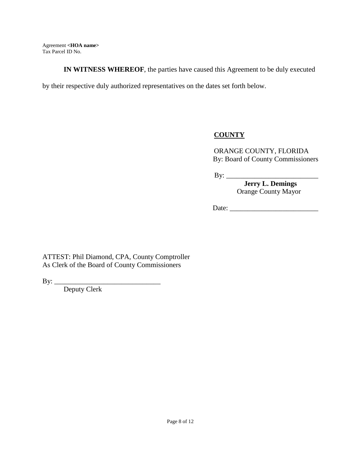**IN WITNESS WHEREOF**, the parties have caused this Agreement to be duly executed

by their respective duly authorized representatives on the dates set forth below.

# **COUNTY**

ORANGE COUNTY, FLORIDA By: Board of County Commissioners

By: \_\_\_\_\_\_\_\_\_\_\_\_\_\_\_\_\_\_\_\_\_\_\_\_\_\_

 **Jerry L. Demings**  Orange County Mayor

Date:

ATTEST: Phil Diamond, CPA, County Comptroller As Clerk of the Board of County Commissioners

By: \_\_\_\_\_\_\_\_\_\_\_\_\_\_\_\_\_\_\_\_\_\_\_\_\_\_\_\_\_\_

Deputy Clerk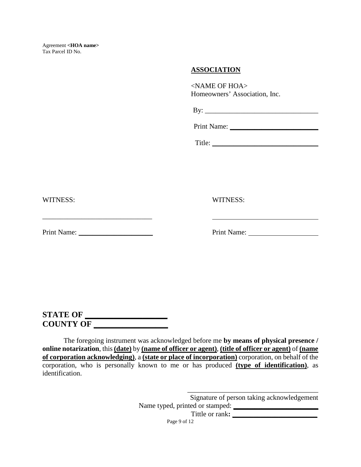### **ASSOCIATION**

<NAME OF HOA> Homeowners' Association, Inc.

 $\mathbf{B} \mathbf{y}$ :

Print Name:

Title: \_\_\_\_\_\_\_\_\_\_\_\_\_\_\_\_\_\_\_\_\_\_\_\_\_\_\_\_\_\_

WITNESS: WITNESS:

\_\_\_\_\_\_\_\_\_\_\_\_\_\_\_\_\_\_\_\_\_\_\_\_\_\_\_\_\_\_\_

Print Name: \_\_\_\_\_\_\_\_\_\_\_\_\_\_\_\_\_\_\_\_\_ Print Name:

**STATE OF \_\_\_\_\_\_\_\_\_\_\_\_\_\_\_\_\_\_\_\_\_ COUNTY OF \_\_\_\_\_\_\_\_\_\_\_\_\_\_\_\_\_\_** 

The foregoing instrument was acknowledged before me **by means of physical presence / online notarization**, this **(date)** by **(name of officer or agent)**, **(title of officer or agent)** of **(name of corporation acknowledging)**, a **(state or place of incorporation)** corporation, on behalf of the corporation, who is personally known to me or has produced **(type of identification)**, as identification.

> Signature of person taking acknowledgement Name typed, printed or stamped:  $\Box$

\_\_\_\_\_\_\_\_\_\_\_\_\_\_\_\_\_\_\_\_\_\_\_\_\_\_\_\_\_\_\_\_\_\_\_\_\_

Tittle or rank:  $\qquad \qquad$ 

Page 9 of 12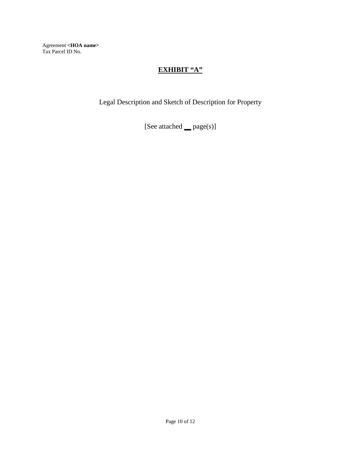## **EXHIBIT "A"**

Legal Description and Sketch of Description for Property

[See attached **\_\_** page(s)]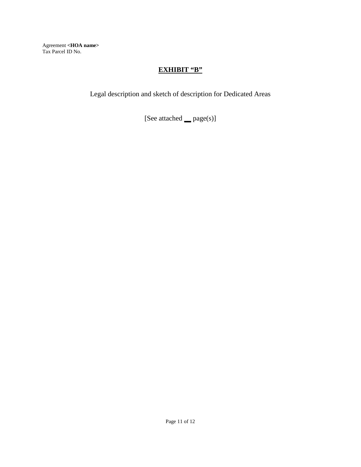### **EXHIBIT "B"**

Legal description and sketch of description for Dedicated Areas

[See attached **\_\_** page(s)]